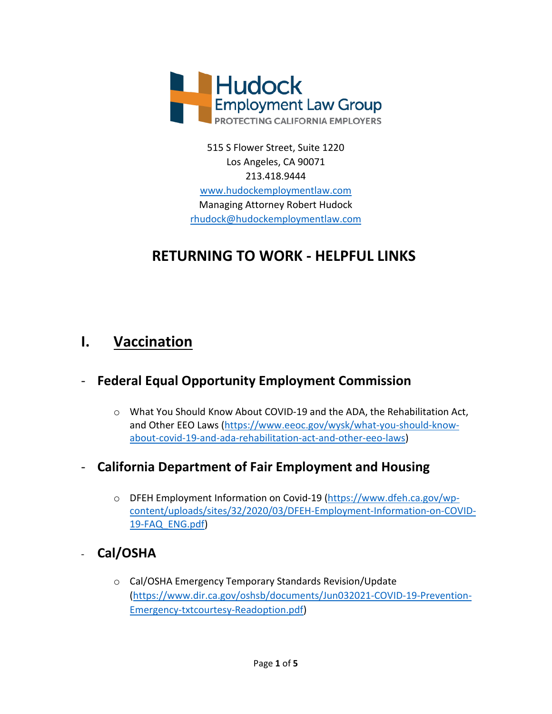

515 S Flower Street, Suite 1220 Los Angeles, CA 90071 213.418.9444 [www.hudockemploymentlaw.com](http://www.hudockemploymentlaw.com/) Managing Attorney Robert Hudock [rhudock@hudockemploymentlaw.com](mailto:rhudock@hudockemploymentlaw.com)

# **RETURNING TO WORK - HELPFUL LINKS**

## **I. Vaccination**

### - **Federal Equal Opportunity Employment Commission**

o What You Should Know About COVID-19 and the ADA, the Rehabilitation Act, and Other EEO Laws [\(https://www.eeoc.gov/wysk/what-you-should-know](https://www.eeoc.gov/wysk/what-you-should-know-about-covid-19-and-ada-rehabilitation-act-and-other-eeo-laws)[about-covid-19-and-ada-rehabilitation-act-and-other-eeo-laws\)](https://www.eeoc.gov/wysk/what-you-should-know-about-covid-19-and-ada-rehabilitation-act-and-other-eeo-laws)

### - **California Department of Fair Employment and Housing**

o DFEH Employment Information on Covid-19 [\(https://www.dfeh.ca.gov/wp](https://www.dfeh.ca.gov/wp-content/uploads/sites/32/2020/03/DFEH-Employment-Information-on-COVID-19-FAQ_ENG.pdf)[content/uploads/sites/32/2020/03/DFEH-Employment-Information-on-COVID-](https://www.dfeh.ca.gov/wp-content/uploads/sites/32/2020/03/DFEH-Employment-Information-on-COVID-19-FAQ_ENG.pdf)[19-FAQ\\_ENG.pdf\)](https://www.dfeh.ca.gov/wp-content/uploads/sites/32/2020/03/DFEH-Employment-Information-on-COVID-19-FAQ_ENG.pdf)

## - **Cal/OSHA**

o Cal/OSHA Emergency Temporary Standards Revision/Update [\(https://www.dir.ca.gov/oshsb/documents/Jun032021-COVID-19-Prevention-](https://www.dir.ca.gov/oshsb/documents/Jun032021-COVID-19-Prevention-Emergency-txtcourtesy-Readoption.pdf)[Emergency-txtcourtesy-Readoption.pdf\)](https://www.dir.ca.gov/oshsb/documents/Jun032021-COVID-19-Prevention-Emergency-txtcourtesy-Readoption.pdf)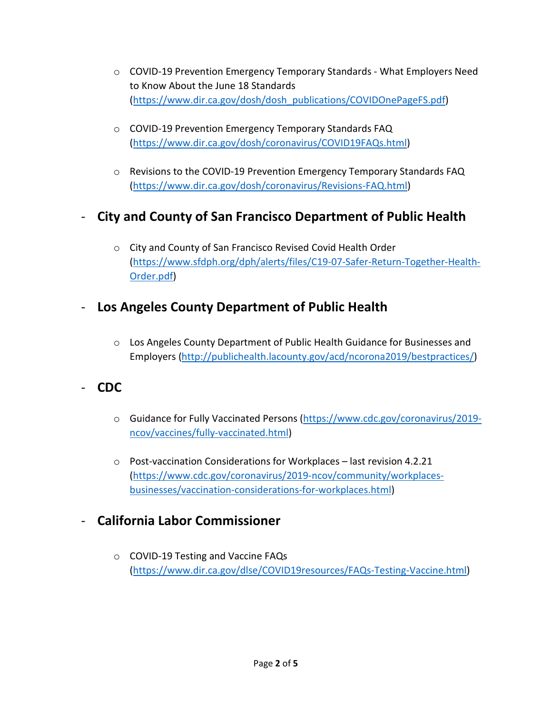- o COVID-19 Prevention Emergency Temporary Standards What Employers Need to Know About the June 18 Standards [\(https://www.dir.ca.gov/dosh/dosh\\_publications/COVIDOnePageFS.pdf\)](https://www.dir.ca.gov/dosh/dosh_publications/COVIDOnePageFS.pdf)
- o COVID-19 Prevention Emergency Temporary Standards FAQ [\(https://www.dir.ca.gov/dosh/coronavirus/COVID19FAQs.html\)](https://www.dir.ca.gov/dosh/coronavirus/COVID19FAQs.html)
- o Revisions to the COVID-19 Prevention Emergency Temporary Standards FAQ [\(https://www.dir.ca.gov/dosh/coronavirus/Revisions-FAQ.html\)](https://www.dir.ca.gov/dosh/coronavirus/Revisions-FAQ.html)

### - **City and County of San Francisco Department of Public Health**

o City and County of San Francisco Revised Covid Health Order [\(https://www.sfdph.org/dph/alerts/files/C19-07-Safer-Return-Together-Health-](https://www.sfdph.org/dph/alerts/files/C19-07-Safer-Return-Together-Health-Order.pdf)[Order.pdf\)](https://www.sfdph.org/dph/alerts/files/C19-07-Safer-Return-Together-Health-Order.pdf)

#### - **Los Angeles County Department of Public Health**

o Los Angeles County Department of Public Health Guidance for Businesses and Employers [\(http://publichealth.lacounty.gov/acd/ncorona2019/bestpractices/\)](http://publichealth.lacounty.gov/acd/ncorona2019/bestpractices/)

### - **CDC**

- o Guidance for Fully Vaccinated Persons [\(https://www.cdc.gov/coronavirus/2019](https://www.cdc.gov/coronavirus/2019-ncov/vaccines/fully-vaccinated.html) [ncov/vaccines/fully-vaccinated.html\)](https://www.cdc.gov/coronavirus/2019-ncov/vaccines/fully-vaccinated.html)
- o Post-vaccination Considerations for Workplaces last revision 4.2.21 [\(https://www.cdc.gov/coronavirus/2019-ncov/community/workplaces](https://www.cdc.gov/coronavirus/2019-ncov/community/workplaces-businesses/vaccination-considerations-for-workplaces.html)[businesses/vaccination-considerations-for-workplaces.html\)](https://www.cdc.gov/coronavirus/2019-ncov/community/workplaces-businesses/vaccination-considerations-for-workplaces.html)

### - **California Labor Commissioner**

o COVID-19 Testing and Vaccine FAQs [\(https://www.dir.ca.gov/dlse/COVID19resources/FAQs-Testing-Vaccine.html\)](https://www.dir.ca.gov/dlse/COVID19resources/FAQs-Testing-Vaccine.html)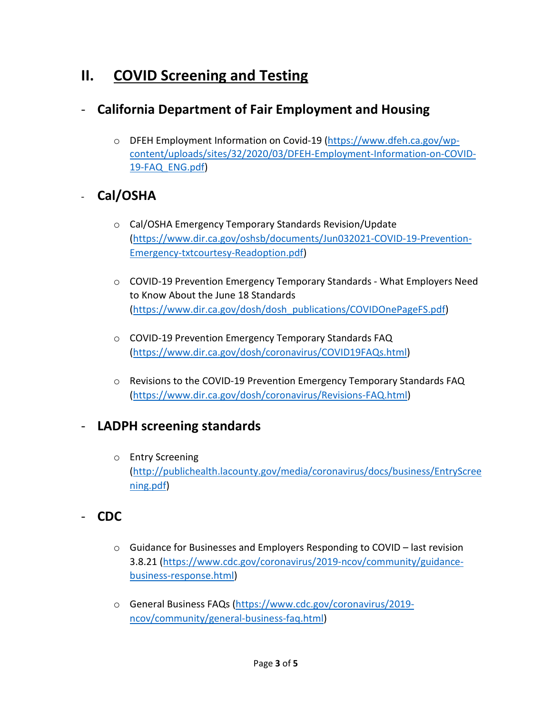# **II. COVID Screening and Testing**

### - **California Department of Fair Employment and Housing**

o DFEH Employment Information on Covid-19 [\(https://www.dfeh.ca.gov/wp](https://www.dfeh.ca.gov/wp-content/uploads/sites/32/2020/03/DFEH-Employment-Information-on-COVID-19-FAQ_ENG.pdf)[content/uploads/sites/32/2020/03/DFEH-Employment-Information-on-COVID-](https://www.dfeh.ca.gov/wp-content/uploads/sites/32/2020/03/DFEH-Employment-Information-on-COVID-19-FAQ_ENG.pdf)[19-FAQ\\_ENG.pdf\)](https://www.dfeh.ca.gov/wp-content/uploads/sites/32/2020/03/DFEH-Employment-Information-on-COVID-19-FAQ_ENG.pdf)

### - **Cal/OSHA**

- o Cal/OSHA Emergency Temporary Standards Revision/Update [\(https://www.dir.ca.gov/oshsb/documents/Jun032021-COVID-19-Prevention-](https://www.dir.ca.gov/oshsb/documents/Jun032021-COVID-19-Prevention-Emergency-txtcourtesy-Readoption.pdf)[Emergency-txtcourtesy-Readoption.pdf\)](https://www.dir.ca.gov/oshsb/documents/Jun032021-COVID-19-Prevention-Emergency-txtcourtesy-Readoption.pdf)
- o COVID-19 Prevention Emergency Temporary Standards What Employers Need to Know About the June 18 Standards [\(https://www.dir.ca.gov/dosh/dosh\\_publications/COVIDOnePageFS.pdf\)](https://www.dir.ca.gov/dosh/dosh_publications/COVIDOnePageFS.pdf)
- o COVID-19 Prevention Emergency Temporary Standards FAQ [\(https://www.dir.ca.gov/dosh/coronavirus/COVID19FAQs.html\)](https://www.dir.ca.gov/dosh/coronavirus/COVID19FAQs.html)
- o Revisions to the COVID-19 Prevention Emergency Temporary Standards FAQ [\(https://www.dir.ca.gov/dosh/coronavirus/Revisions-FAQ.html\)](https://www.dir.ca.gov/dosh/coronavirus/Revisions-FAQ.html)

#### - **LADPH screening standards**

- o Entry Screening [\(http://publichealth.lacounty.gov/media/coronavirus/docs/business/EntryScree](http://publichealth.lacounty.gov/media/coronavirus/docs/business/EntryScreening.pdf) [ning.pdf\)](http://publichealth.lacounty.gov/media/coronavirus/docs/business/EntryScreening.pdf)
- **CDC**
	- $\circ$  Guidance for Businesses and Employers Responding to COVID last revision 3.8.21 [\(https://www.cdc.gov/coronavirus/2019-ncov/community/guidance](https://www.cdc.gov/coronavirus/2019-ncov/community/guidance-business-response.html)[business-response.html\)](https://www.cdc.gov/coronavirus/2019-ncov/community/guidance-business-response.html)
	- o General Business FAQs [\(https://www.cdc.gov/coronavirus/2019](https://www.cdc.gov/coronavirus/2019-ncov/community/general-business-faq.html) [ncov/community/general-business-faq.html\)](https://www.cdc.gov/coronavirus/2019-ncov/community/general-business-faq.html)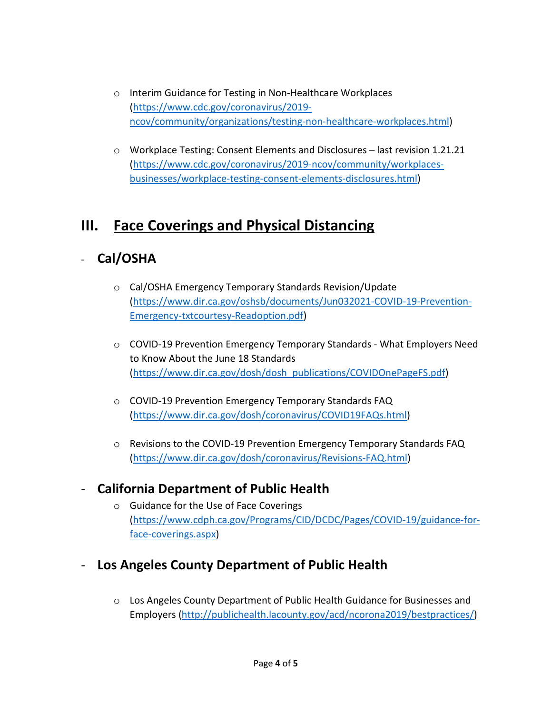- o Interim Guidance for Testing in Non-Healthcare Workplaces [\(https://www.cdc.gov/coronavirus/2019](https://www.cdc.gov/coronavirus/2019-ncov/community/organizations/testing-non-healthcare-workplaces.html) [ncov/community/organizations/testing-non-healthcare-workplaces.html\)](https://www.cdc.gov/coronavirus/2019-ncov/community/organizations/testing-non-healthcare-workplaces.html)
- $\circ$  Workplace Testing: Consent Elements and Disclosures last revision 1.21.21 [\(https://www.cdc.gov/coronavirus/2019-ncov/community/workplaces](https://www.cdc.gov/coronavirus/2019-ncov/community/workplaces-businesses/workplace-testing-consent-elements-disclosures.html)[businesses/workplace-testing-consent-elements-disclosures.html\)](https://www.cdc.gov/coronavirus/2019-ncov/community/workplaces-businesses/workplace-testing-consent-elements-disclosures.html)

# **III. Face Coverings and Physical Distancing**

## - **Cal/OSHA**

- o Cal/OSHA Emergency Temporary Standards Revision/Update [\(https://www.dir.ca.gov/oshsb/documents/Jun032021-COVID-19-Prevention-](https://www.dir.ca.gov/oshsb/documents/Jun032021-COVID-19-Prevention-Emergency-txtcourtesy-Readoption.pdf)[Emergency-txtcourtesy-Readoption.pdf\)](https://www.dir.ca.gov/oshsb/documents/Jun032021-COVID-19-Prevention-Emergency-txtcourtesy-Readoption.pdf)
- o COVID-19 Prevention Emergency Temporary Standards What Employers Need to Know About the June 18 Standards [\(https://www.dir.ca.gov/dosh/dosh\\_publications/COVIDOnePageFS.pdf\)](https://www.dir.ca.gov/dosh/dosh_publications/COVIDOnePageFS.pdf)
- o COVID-19 Prevention Emergency Temporary Standards FAQ [\(https://www.dir.ca.gov/dosh/coronavirus/COVID19FAQs.html\)](https://www.dir.ca.gov/dosh/coronavirus/COVID19FAQs.html)
- $\circ$  Revisions to the COVID-19 Prevention Emergency Temporary Standards FAQ [\(https://www.dir.ca.gov/dosh/coronavirus/Revisions-FAQ.html\)](https://www.dir.ca.gov/dosh/coronavirus/Revisions-FAQ.html)

### - **California Department of Public Health**

- o Guidance for the Use of Face Coverings [\(https://www.cdph.ca.gov/Programs/CID/DCDC/Pages/COVID-19/guidance-for](https://www.cdph.ca.gov/Programs/CID/DCDC/Pages/COVID-19/guidance-for-face-coverings.aspx)[face-coverings.aspx\)](https://www.cdph.ca.gov/Programs/CID/DCDC/Pages/COVID-19/guidance-for-face-coverings.aspx)
- **Los Angeles County Department of Public Health**
	- o Los Angeles County Department of Public Health Guidance for Businesses and Employers [\(http://publichealth.lacounty.gov/acd/ncorona2019/bestpractices/\)](http://publichealth.lacounty.gov/acd/ncorona2019/bestpractices/)